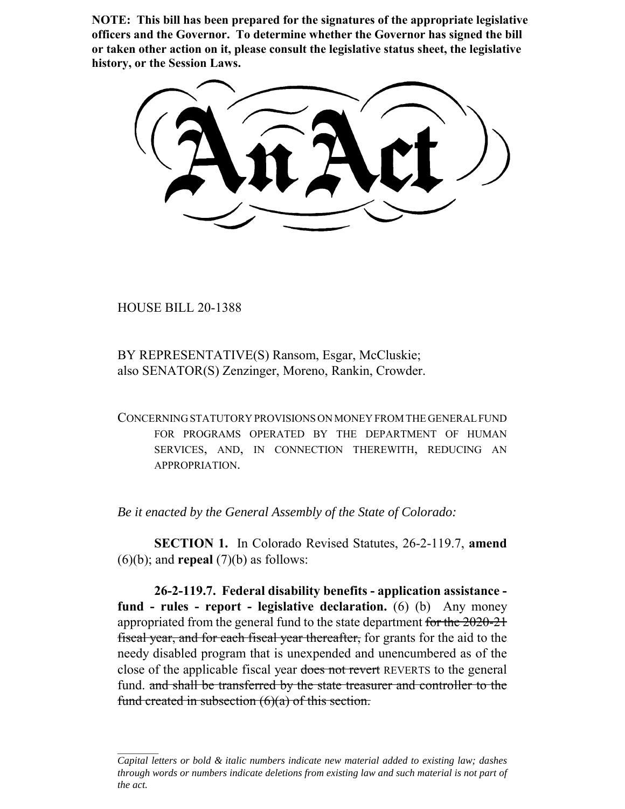**NOTE: This bill has been prepared for the signatures of the appropriate legislative officers and the Governor. To determine whether the Governor has signed the bill or taken other action on it, please consult the legislative status sheet, the legislative history, or the Session Laws.**

HOUSE BILL 20-1388

BY REPRESENTATIVE(S) Ransom, Esgar, McCluskie; also SENATOR(S) Zenzinger, Moreno, Rankin, Crowder.

CONCERNING STATUTORY PROVISIONS ON MONEY FROM THE GENERAL FUND FOR PROGRAMS OPERATED BY THE DEPARTMENT OF HUMAN SERVICES, AND, IN CONNECTION THEREWITH, REDUCING AN APPROPRIATION.

*Be it enacted by the General Assembly of the State of Colorado:*

**SECTION 1.** In Colorado Revised Statutes, 26-2-119.7, **amend**  $(6)(b)$ ; and **repeal**  $(7)(b)$  as follows:

**26-2-119.7. Federal disability benefits - application assistance fund - rules - report - legislative declaration.** (6) (b) Any money appropriated from the general fund to the state department for the 2020-21 fiscal year, and for each fiscal year thereafter, for grants for the aid to the needy disabled program that is unexpended and unencumbered as of the close of the applicable fiscal year does not revert REVERTS to the general fund. and shall be transferred by the state treasurer and controller to the fund created in subsection  $(6)(a)$  of this section.

*Capital letters or bold & italic numbers indicate new material added to existing law; dashes through words or numbers indicate deletions from existing law and such material is not part of the act.*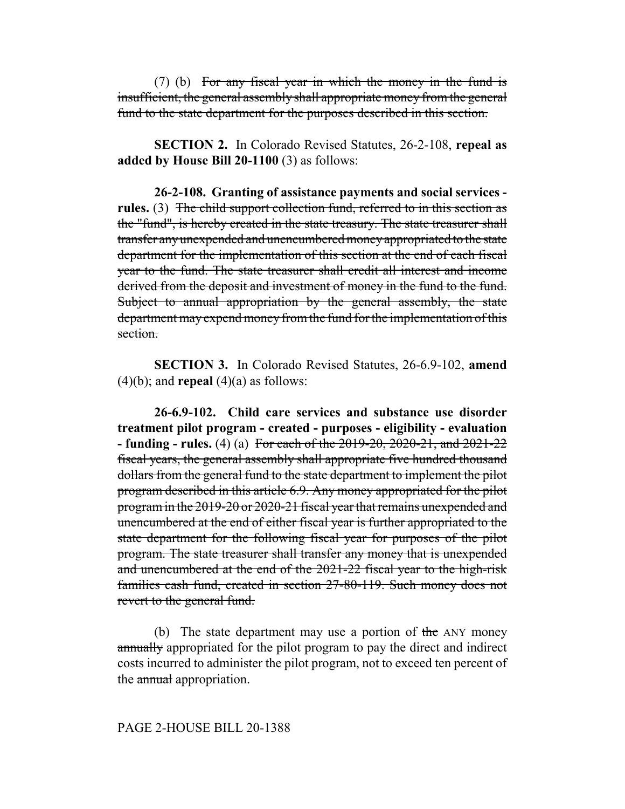(7) (b) For any fiscal year in which the money in the fund is insufficient, the general assembly shall appropriate money from the general fund to the state department for the purposes described in this section.

**SECTION 2.** In Colorado Revised Statutes, 26-2-108, **repeal as added by House Bill 20-1100** (3) as follows:

**26-2-108. Granting of assistance payments and social services**  rules. (3) The child support collection fund, referred to in this section as the "fund", is hereby created in the state treasury. The state treasurer shall transfer any unexpended and unencumbered money appropriated to the state department for the implementation of this section at the end of each fiscal year to the fund. The state treasurer shall credit all interest and income derived from the deposit and investment of money in the fund to the fund. Subject to annual appropriation by the general assembly, the state department may expend money from the fund for the implementation of this section.

**SECTION 3.** In Colorado Revised Statutes, 26-6.9-102, **amend**  $(4)(b)$ ; and **repeal**  $(4)(a)$  as follows:

**26-6.9-102. Child care services and substance use disorder treatment pilot program - created - purposes - eligibility - evaluation - funding - rules.** (4) (a) For each of the 2019-20, 2020-21, and 2021-22 fiscal years, the general assembly shall appropriate five hundred thousand dollars from the general fund to the state department to implement the pilot program described in this article 6.9. Any money appropriated for the pilot program in the 2019-20 or 2020-21 fiscal year that remains unexpended and unencumbered at the end of either fiscal year is further appropriated to the state department for the following fiscal year for purposes of the pilot program. The state treasurer shall transfer any money that is unexpended and unencumbered at the end of the 2021-22 fiscal year to the high-risk families cash fund, created in section 27-80-119. Such money does not revert to the general fund.

(b) The state department may use a portion of the ANY money annually appropriated for the pilot program to pay the direct and indirect costs incurred to administer the pilot program, not to exceed ten percent of the annual appropriation.

## PAGE 2-HOUSE BILL 20-1388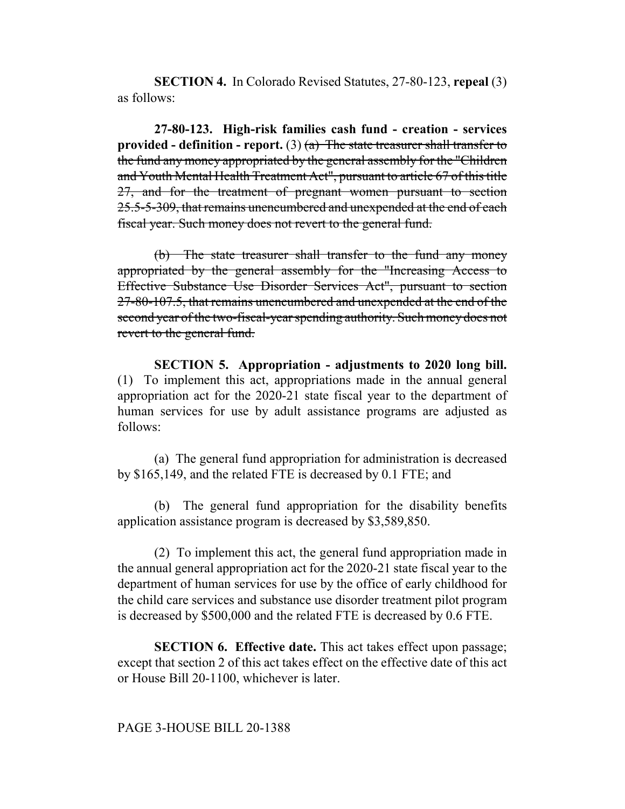**SECTION 4.** In Colorado Revised Statutes, 27-80-123, **repeal** (3) as follows:

**27-80-123. High-risk families cash fund - creation - services provided - definition - report.** (3)  $(a)$  The state treasurer shall transfer to the fund any money appropriated by the general assembly for the "Children and Youth Mental Health Treatment Act", pursuant to article 67 of this title 27, and for the treatment of pregnant women pursuant to section 25.5-5-309, that remains unencumbered and unexpended at the end of each fiscal year. Such money does not revert to the general fund.

(b) The state treasurer shall transfer to the fund any money appropriated by the general assembly for the "Increasing Access to Effective Substance Use Disorder Services Act", pursuant to section 27-80-107.5, that remains unencumbered and unexpended at the end of the second year of the two-fiscal-year spending authority. Such money does not revert to the general fund.

**SECTION 5. Appropriation - adjustments to 2020 long bill.** (1) To implement this act, appropriations made in the annual general appropriation act for the 2020-21 state fiscal year to the department of human services for use by adult assistance programs are adjusted as follows:

(a) The general fund appropriation for administration is decreased by \$165,149, and the related FTE is decreased by 0.1 FTE; and

(b) The general fund appropriation for the disability benefits application assistance program is decreased by \$3,589,850.

(2) To implement this act, the general fund appropriation made in the annual general appropriation act for the 2020-21 state fiscal year to the department of human services for use by the office of early childhood for the child care services and substance use disorder treatment pilot program is decreased by \$500,000 and the related FTE is decreased by 0.6 FTE.

**SECTION 6. Effective date.** This act takes effect upon passage; except that section 2 of this act takes effect on the effective date of this act or House Bill 20-1100, whichever is later.